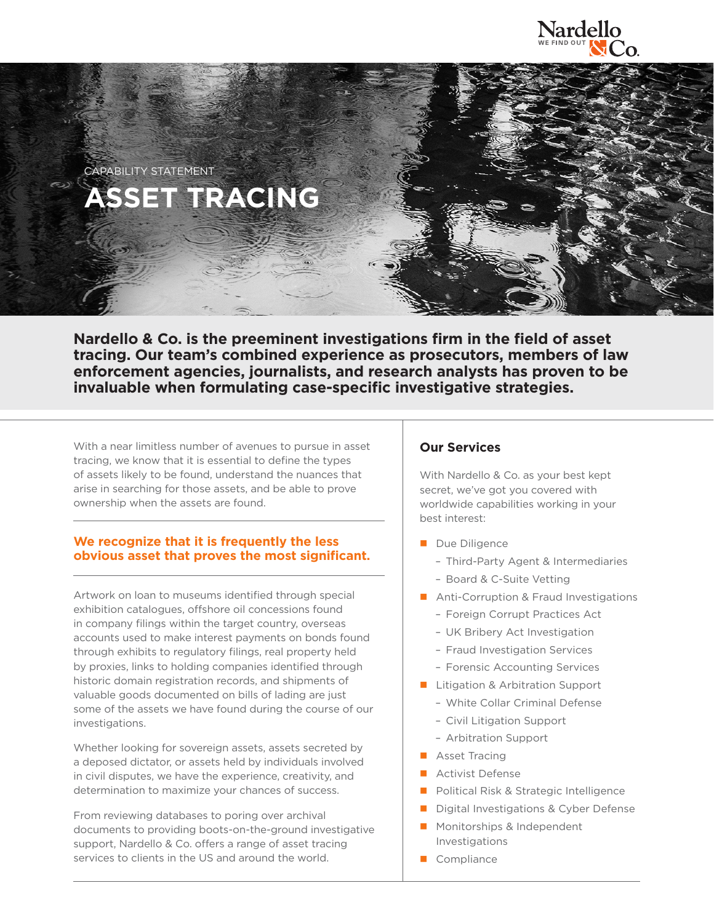



**Nardello & Co. is the preeminent investigations firm in the field of asset tracing. Our team's combined experience as prosecutors, members of law enforcement agencies, journalists, and research analysts has proven to be invaluable when formulating case-specific investigative strategies.**

With a near limitless number of avenues to pursue in asset tracing, we know that it is essential to define the types of assets likely to be found, understand the nuances that arise in searching for those assets, and be able to prove ownership when the assets are found.

# **We recognize that it is frequently the less obvious asset that proves the most significant.**

Artwork on loan to museums identified through special exhibition catalogues, offshore oil concessions found in company filings within the target country, overseas accounts used to make interest payments on bonds found through exhibits to regulatory filings, real property held by proxies, links to holding companies identified through historic domain registration records, and shipments of valuable goods documented on bills of lading are just some of the assets we have found during the course of our investigations.

Whether looking for sovereign assets, assets secreted by a deposed dictator, or assets held by individuals involved in civil disputes, we have the experience, creativity, and determination to maximize your chances of success.

From reviewing databases to poring over archival documents to providing boots-on-the-ground investigative support, Nardello & Co. offers a range of asset tracing services to clients in the US and around the world.

# **Our Services**

With Nardello & Co. as your best kept secret, we've got you covered with worldwide capabilities working in your best interest:

- Due Diligence
	- Third-Party Agent & Intermediaries
	- Board & C-Suite Vetting
- **Anti-Corruption & Fraud Investigations** 
	- Foreign Corrupt Practices Act
	- UK Bribery Act Investigation
	- Fraud Investigation Services
	- Forensic Accounting Services
- **Litigation & Arbitration Support** 
	- White Collar Criminal Defense
	- Civil Litigation Support
	- Arbitration Support
- **Asset Tracing**
- **Activist Defense**
- **Political Risk & Strategic Intelligence**
- Digital Investigations & Cyber Defense
- **Monitorships & Independent** Investigations
- Compliance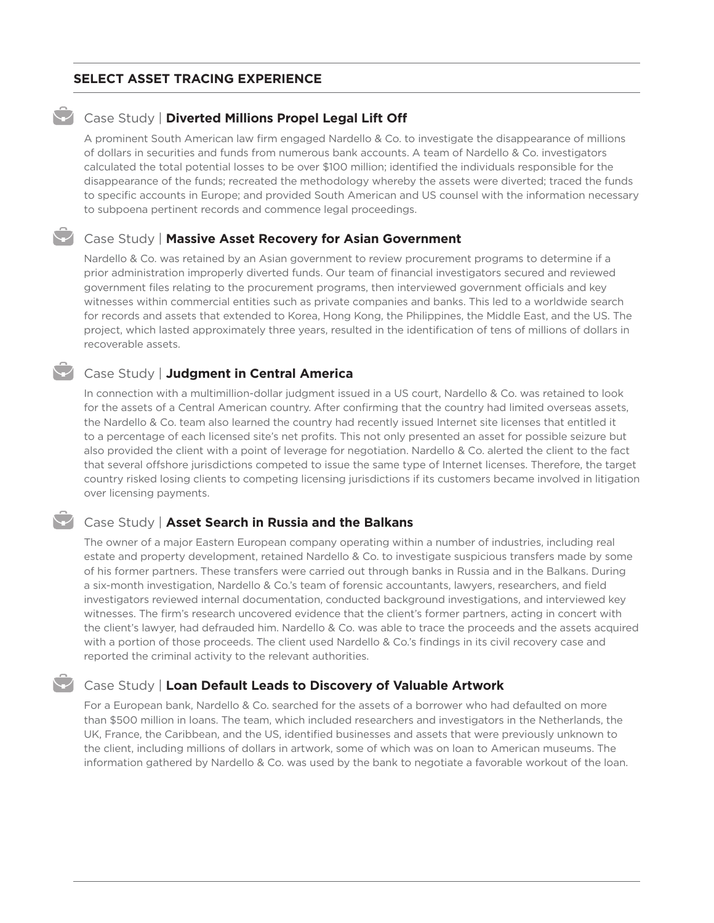## **SELECT ASSET TRACING EXPERIENCE**

### **Case Study | Diverted Millions Propel Legal Lift Off**

A prominent South American law firm engaged Nardello & Co. to investigate the disappearance of millions of dollars in securities and funds from numerous bank accounts. A team of Nardello & Co. investigators calculated the total potential losses to be over \$100 million; identified the individuals responsible for the disappearance of the funds; recreated the methodology whereby the assets were diverted; traced the funds to specific accounts in Europe; and provided South American and US counsel with the information necessary to subpoena pertinent records and commence legal proceedings.

### Case Study | **Massive Asset Recovery for Asian Government**

Nardello & Co. was retained by an Asian government to review procurement programs to determine if a prior administration improperly diverted funds. Our team of financial investigators secured and reviewed government files relating to the procurement programs, then interviewed government officials and key witnesses within commercial entities such as private companies and banks. This led to a worldwide search for records and assets that extended to Korea, Hong Kong, the Philippines, the Middle East, and the US. The project, which lasted approximately three years, resulted in the identification of tens of millions of dollars in recoverable assets.

## Case Study | **Judgment in Central America**

In connection with a multimillion-dollar judgment issued in a US court, Nardello & Co. was retained to look for the assets of a Central American country. After confirming that the country had limited overseas assets, the Nardello & Co. team also learned the country had recently issued Internet site licenses that entitled it to a percentage of each licensed site's net profits. This not only presented an asset for possible seizure but also provided the client with a point of leverage for negotiation. Nardello & Co. alerted the client to the fact that several offshore jurisdictions competed to issue the same type of Internet licenses. Therefore, the target country risked losing clients to competing licensing jurisdictions if its customers became involved in litigation over licensing payments.

#### Case Study | **Asset Search in Russia and the Balkans**

The owner of a major Eastern European company operating within a number of industries, including real estate and property development, retained Nardello & Co. to investigate suspicious transfers made by some of his former partners. These transfers were carried out through banks in Russia and in the Balkans. During a six-month investigation, Nardello & Co.'s team of forensic accountants, lawyers, researchers, and field investigators reviewed internal documentation, conducted background investigations, and interviewed key witnesses. The firm's research uncovered evidence that the client's former partners, acting in concert with the client's lawyer, had defrauded him. Nardello & Co. was able to trace the proceeds and the assets acquired with a portion of those proceeds. The client used Nardello & Co.'s findings in its civil recovery case and reported the criminal activity to the relevant authorities.

## Case Study | **Loan Default Leads to Discovery of Valuable Artwork**

For a European bank, Nardello & Co. searched for the assets of a borrower who had defaulted on more than \$500 million in loans. The team, which included researchers and investigators in the Netherlands, the UK, France, the Caribbean, and the US, identified businesses and assets that were previously unknown to the client, including millions of dollars in artwork, some of which was on loan to American museums. The information gathered by Nardello & Co. was used by the bank to negotiate a favorable workout of the loan.